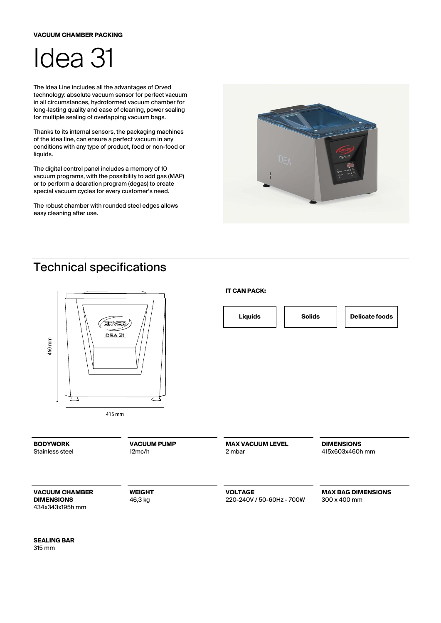## **VACUUM CHAMBER PACKING**



The Idea Line includes all the advantages of Orved technology: absolute vacuum sensor for perfect vacuum in all circumstances, hydroformed vacuum chamber for long-lasting quality and ease of cleaning, power sealing for multiple sealing of overlapping vacuum bags.

Thanks to its internal sensors, the packaging machines of the idea line, can ensure a perfect vacuum in any conditions with any type of product, food or non-food or liquids.

The digital control panel includes a memory of 10 vacuum programs, with the possibility to add gas (MAP) or to perform a dearation program (degas) to create special vacuum cycles for every customer's need.

The robust chamber with rounded steel edges allows easy cleaning after use.



## Technical specifications



**SEALING BAR** 315 mm